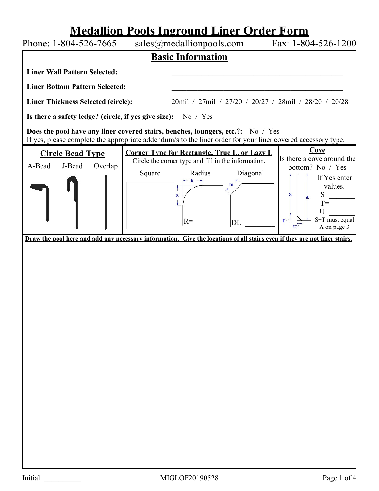# **Medallion Pools Inground Liner Order Form**

| Phone: 1-804-526-7665                                                                                                                                                                           |        |                                                                                      |                                                                                       | sales@medallionpools.com Fax: 1-804-526-1200                                                                                                                                                 |
|-------------------------------------------------------------------------------------------------------------------------------------------------------------------------------------------------|--------|--------------------------------------------------------------------------------------|---------------------------------------------------------------------------------------|----------------------------------------------------------------------------------------------------------------------------------------------------------------------------------------------|
| <b>Basic Information</b>                                                                                                                                                                        |        |                                                                                      |                                                                                       |                                                                                                                                                                                              |
| <b>Liner Wall Pattern Selected:</b>                                                                                                                                                             |        |                                                                                      |                                                                                       |                                                                                                                                                                                              |
| <b>Liner Bottom Pattern Selected:</b>                                                                                                                                                           |        |                                                                                      |                                                                                       |                                                                                                                                                                                              |
| <b>Liner Thickness Selected (circle):</b>                                                                                                                                                       |        |                                                                                      |                                                                                       | 20mil / 27mil / 27/20 / 20/27 / 28mil / 28/20 / 20/28                                                                                                                                        |
| Is there a safety ledge? (circle, if yes give size): No / Yes __________________                                                                                                                |        |                                                                                      |                                                                                       |                                                                                                                                                                                              |
| Does the pool have any liner covered stairs, benches, loungers, etc.?: No / Yes<br>If yes, please complete the appropriate addendum/s to the liner order for your liner covered accessory type. |        |                                                                                      |                                                                                       |                                                                                                                                                                                              |
| <b>Circle Bead Type</b><br>A-Bead<br>J-Bead<br>Overlap<br>Draw the pool here and add any necessary information. Give the locations of all stairs even if they are not liner stairs.             | Square | Circle the corner type and fill in the information.<br>Radius<br>$\mathbb R$<br>$R=$ | <b>Corner Type for Rectangle, True L, or Lazy L</b><br>Diagonal<br><b>DL</b><br>$DL=$ | Cove<br>Is there a cove around the<br>bottom? No / Yes<br>If Yes enter<br>values.<br>$S=$<br>s<br>$T=$<br>$U =$<br>S+T must equal<br>$T^{\sim}$<br>A on page 3<br>$\mathbf{U}^{\mathcal{S}}$ |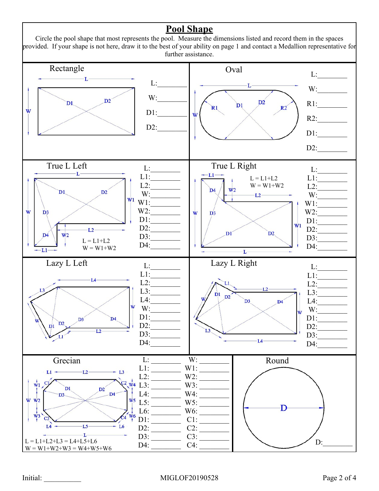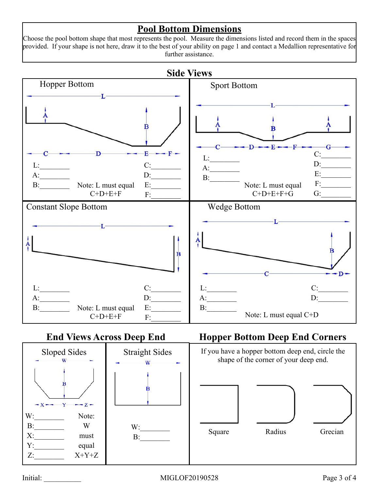### **Pool Bottom Dimensions**

Choose the pool bottom shape that most represents the pool. Measure the dimensions listed and record them in the spaces provided. If your shape is not here, draw it to the best of your ability on page 1 and contact a Medallion representative for further assistance.



### **End Views Across Deep End**



## **Hopper Bottom Deep End Corners**

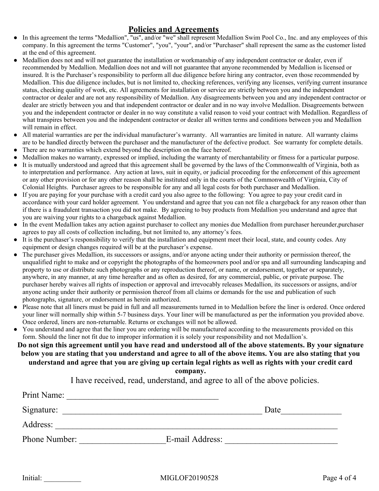#### **Policies and Agreements**

- In this agreement the terms "Medallion", "us", and/or "we" shall represent Medallion Swim Pool Co., Inc. and any employees of this company. In this agreement the terms "Customer", "you", "your", and/or "Purchaser" shall represent the same as the customer listed at the end of this agreement.
- Medallion does not and will not guarantee the installation or workmanship of any independent contractor or dealer, even if recommended by Medallion. Medallion does not and will not guarantee that anyone recommended by Medallion is licensed or insured. It is the Purchaser's responsibility to perform all due diligence before hiring any contractor, even those recommended by Medallion. This due diligence includes, but is not limited to, checking references, verifying any licenses, verifying current insurance status, checking quality of work, etc. All agreements for installation or service are strictly between you and the independent contractor or dealer and are not any responsibility of Medallion. Any disagreements between you and any independent contractor or dealer are strictly between you and that independent contractor or dealer and in no way involve Medallion. Disagreements between you and the independent contractor or dealer in no way constitute a valid reason to void your contract with Medallion. Regardless of what transpires between you and the independent contractor or dealer all written terms and conditions between you and Medallion will remain in effect.
- All material warranties are per the individual manufacturer's warranty. All warranties are limited in nature. All warranty claims are to be handled directly between the purchaser and the manufacturer of the defective product. See warranty for complete details.
- There are no warranties which extend beyond the description on the face hereof.
- Medallion makes no warranty, expressed or implied, including the warranty of merchantability or fitness for a particular purpose.
- It is mutually understood and agreed that this agreement shall be governed by the laws of the Commonwealth of Virginia, both as to interpretation and performance. Any action at laws, suit in equity, or judicial proceeding for the enforcement of this agreement or any other provision or for any other reason shall be instituted only in the courts of the Commonwealth of Virginia, City of Colonial Heights. Purchaser agrees to be responsible for any and all legal costs for both purchaser and Medallion.
- If you are paying for your purchase with a credit card you also agree to the following: You agree to pay your credit card in accordance with your card holder agreement. You understand and agree that you can not file a chargeback for any reason other than if there is a fraudulent transaction you did not make. By agreeing to buy products from Medallion you understand and agree that you are waiving your rights to a chargeback against Medallion.
- In the event Medallion takes any action against purchaser to collect any monies due Medallion from purchaser hereunder, purchaser agrees to pay all costs of collection including, but not limited to, any attorney's fees.
- It is the purchaser's responsibility to verify that the installation and equipment meet their local, state, and county codes. Any equipment or design changes required will be at the purchaser's expense.
- The purchaser gives Medallion, its successors or assigns, and/or anyone acting under their authority or permission thereof, the unqualified right to make and or copyright the photographs of the homeowners pool and/or spa and all surrounding landscaping and property to use or distribute such photographs or any reproduction thereof, or name, or endorsement, together or separately, anywhere, in any manner, at any time hereafter and as often as desired, for any commercial, public, or private purpose. The purchaser hereby waives all rights of inspection or approval and irrevocably releases Medallion, its successors or assigns, and/or anyone acting under their authority or permission thereof from all claims or demands for the use and publication of such photographs, signature, or endorsement as herein authorized.
- Please note that all liners must be paid in full and all measurements turned in to Medallion before the liner is ordered. Once ordered your liner will normally ship within 5-7 business days. Your liner will be manufactured as per the information you provided above. Once ordered, liners are non-returnable. Returns or exchanges will not be allowed.
- You understand and agree that the liner you are ordering will be manufactured according to the measurements provided on this form. Should the liner not fit due to improper information it is solely your responsibility and not Medallion's.

#### **Do not sign this agreement until you have read and understood all of the above statements. By your signature below you are stating that you understand and agree to all of the above items. You are also stating that you understand and agree that you are giving up certain legal rights as well as rights with your credit card company.**

I have received, read, understand, and agree to all of the above policies.

| Print Name:   |                 |
|---------------|-----------------|
| Signature:    | Date            |
| Address:      |                 |
| Phone Number: | E-mail Address: |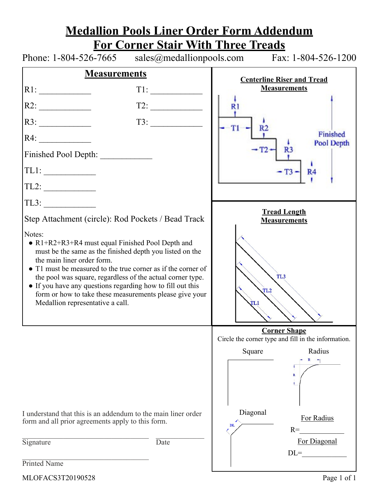|                                                                                                                                                                                                                                                                                                                                                                                                                                                   |                                                                                                                                                                                                                                                                                                                                                                                                                                                                                                                           | <b>Medallion Pools Liner Order Form Addendum</b>                             |  |
|---------------------------------------------------------------------------------------------------------------------------------------------------------------------------------------------------------------------------------------------------------------------------------------------------------------------------------------------------------------------------------------------------------------------------------------------------|---------------------------------------------------------------------------------------------------------------------------------------------------------------------------------------------------------------------------------------------------------------------------------------------------------------------------------------------------------------------------------------------------------------------------------------------------------------------------------------------------------------------------|------------------------------------------------------------------------------|--|
|                                                                                                                                                                                                                                                                                                                                                                                                                                                   | <b>For Corner Stair With Three Treads</b>                                                                                                                                                                                                                                                                                                                                                                                                                                                                                 |                                                                              |  |
|                                                                                                                                                                                                                                                                                                                                                                                                                                                   |                                                                                                                                                                                                                                                                                                                                                                                                                                                                                                                           | Phone: $1-804-526-7665$ sales @medallionpools.com Fax: $1-804-526-1200$      |  |
| <b>Measurements</b>                                                                                                                                                                                                                                                                                                                                                                                                                               |                                                                                                                                                                                                                                                                                                                                                                                                                                                                                                                           | <b>Centerline Riser and Tread</b>                                            |  |
| R1:                                                                                                                                                                                                                                                                                                                                                                                                                                               | $T1: \begin{tabular}{ll} \multicolumn{2}{c} {\textbf{ }} & \multicolumn{2}{c} {\textbf{ }} \\ \multicolumn{2}{c} {\textbf{ }} & \multicolumn{2}{c} {\textbf{ }} \\ \multicolumn{2}{c} {\textbf{ }} & \multicolumn{2}{c} {\textbf{ }} \\ \multicolumn{2}{c} {\textbf{ }} & \multicolumn{2}{c} {\textbf{ }} \\ \multicolumn{2}{c} {\textbf{ }} & \multicolumn{2}{c} {\textbf{ }} \\ \multicolumn{2}{c} {\textbf{ }} & \multicolumn{2}{c} {\textbf{ }} \\ \multicolumn{2}{c} {\textbf{ }} & \multicolumn{2}{c} {\textbf{ }}$ | <b>Measurements</b>                                                          |  |
| R2:                                                                                                                                                                                                                                                                                                                                                                                                                                               |                                                                                                                                                                                                                                                                                                                                                                                                                                                                                                                           | R1                                                                           |  |
| R3:                                                                                                                                                                                                                                                                                                                                                                                                                                               | $\begin{array}{c c c c} \hline \text{I3:} & & \\\hline \end{array}$                                                                                                                                                                                                                                                                                                                                                                                                                                                       | $T1 -$<br>R2                                                                 |  |
| R4:                                                                                                                                                                                                                                                                                                                                                                                                                                               |                                                                                                                                                                                                                                                                                                                                                                                                                                                                                                                           | Finished<br>Pool Depth                                                       |  |
| Finished Pool Depth:                                                                                                                                                                                                                                                                                                                                                                                                                              |                                                                                                                                                                                                                                                                                                                                                                                                                                                                                                                           |                                                                              |  |
| TL1:                                                                                                                                                                                                                                                                                                                                                                                                                                              |                                                                                                                                                                                                                                                                                                                                                                                                                                                                                                                           | $-T3 - R4$                                                                   |  |
|                                                                                                                                                                                                                                                                                                                                                                                                                                                   |                                                                                                                                                                                                                                                                                                                                                                                                                                                                                                                           |                                                                              |  |
| $TL3: \begin{tabular}{ c c c } \hline \quad \quad & \quad \quad & \quad \quad \\ \hline \end{tabular}$                                                                                                                                                                                                                                                                                                                                            |                                                                                                                                                                                                                                                                                                                                                                                                                                                                                                                           |                                                                              |  |
| Step Attachment (circle): Rod Pockets / Bead Track                                                                                                                                                                                                                                                                                                                                                                                                |                                                                                                                                                                                                                                                                                                                                                                                                                                                                                                                           | <b>Tread Length</b><br><b>Measurements</b>                                   |  |
| Notes:<br>• $R1+R2+R3+R4$ must equal Finished Pool Depth and<br>must be the same as the finished depth you listed on the<br>the main liner order form.<br>• T1 must be measured to the true corner as if the corner of<br>the pool was square, regardless of the actual corner type.<br>• If you have any questions regarding how to fill out this<br>form or how to take these measurements please give your<br>Medallion representative a call. |                                                                                                                                                                                                                                                                                                                                                                                                                                                                                                                           | TL <sub>3</sub><br>TL <sub>2</sub><br>TL1                                    |  |
|                                                                                                                                                                                                                                                                                                                                                                                                                                                   |                                                                                                                                                                                                                                                                                                                                                                                                                                                                                                                           | <b>Corner Shape</b>                                                          |  |
|                                                                                                                                                                                                                                                                                                                                                                                                                                                   |                                                                                                                                                                                                                                                                                                                                                                                                                                                                                                                           | Circle the corner type and fill in the information.<br>Radius<br>Square<br>R |  |
| I understand that this is an addendum to the main liner order<br>form and all prior agreements apply to this form.                                                                                                                                                                                                                                                                                                                                |                                                                                                                                                                                                                                                                                                                                                                                                                                                                                                                           | Diagonal<br>For Radius<br>DL<br>$R=$                                         |  |
| Signature                                                                                                                                                                                                                                                                                                                                                                                                                                         | Date                                                                                                                                                                                                                                                                                                                                                                                                                                                                                                                      | For Diagonal<br>$DL=$                                                        |  |
| Printed Name                                                                                                                                                                                                                                                                                                                                                                                                                                      |                                                                                                                                                                                                                                                                                                                                                                                                                                                                                                                           |                                                                              |  |

MLOFACS3T20190528 Page 1 of 1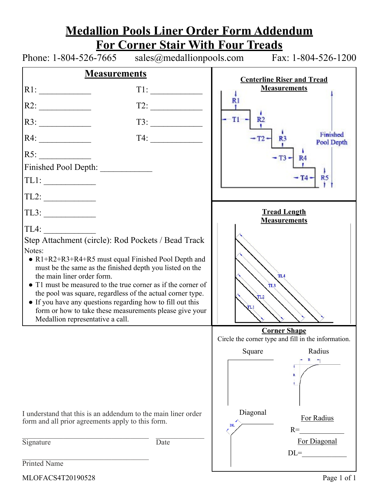|                                                                                                                                                                                                                                                                                                                                                                                                                                                                                                            |                                          | <b>Medallion Pools Liner Order Form Addendum</b>                           |
|------------------------------------------------------------------------------------------------------------------------------------------------------------------------------------------------------------------------------------------------------------------------------------------------------------------------------------------------------------------------------------------------------------------------------------------------------------------------------------------------------------|------------------------------------------|----------------------------------------------------------------------------|
|                                                                                                                                                                                                                                                                                                                                                                                                                                                                                                            | <b>For Corner Stair With Four Treads</b> |                                                                            |
|                                                                                                                                                                                                                                                                                                                                                                                                                                                                                                            |                                          | Phone: $1-804-526-7665$ sales @medallionpools.com Fax: $1-804-526-1200$    |
| <b>Measurements</b>                                                                                                                                                                                                                                                                                                                                                                                                                                                                                        |                                          | <b>Centerline Riser and Tread</b>                                          |
| RI:                                                                                                                                                                                                                                                                                                                                                                                                                                                                                                        | $T1: \underline{\hspace{2.5cm}}$         | <b>Measurements</b>                                                        |
| R2:                                                                                                                                                                                                                                                                                                                                                                                                                                                                                                        |                                          | R1                                                                         |
| R3:                                                                                                                                                                                                                                                                                                                                                                                                                                                                                                        | $\boxed{13: \underline{\hspace{1.5cm}}$  | R2<br>$T1 -$                                                               |
| R4:                                                                                                                                                                                                                                                                                                                                                                                                                                                                                                        | $T4: \underline{\hspace{2.5cm}}$         | Finished<br>$-T2-$<br>R <sub>3</sub><br>Pool Depth                         |
| RS:                                                                                                                                                                                                                                                                                                                                                                                                                                                                                                        |                                          | $-T3-$<br><b>R4</b>                                                        |
| Finished Pool Depth:                                                                                                                                                                                                                                                                                                                                                                                                                                                                                       |                                          |                                                                            |
| TL1:                                                                                                                                                                                                                                                                                                                                                                                                                                                                                                       |                                          | $-T4-RS$                                                                   |
| TL2:                                                                                                                                                                                                                                                                                                                                                                                                                                                                                                       |                                          |                                                                            |
| $TL3: \underline{\qquad \qquad }$                                                                                                                                                                                                                                                                                                                                                                                                                                                                          |                                          | <b>Tread Length</b><br><b>Measurements</b>                                 |
| TL4:                                                                                                                                                                                                                                                                                                                                                                                                                                                                                                       |                                          |                                                                            |
| Step Attachment (circle): Rod Pockets / Bead Track<br>Notes:<br>• $R1+R2+R3+R4+R5$ must equal Finished Pool Depth and<br>must be the same as the finished depth you listed on the<br>the main liner order form.<br>• T1 must be measured to the true corner as if the corner of<br>the pool was square, regardless of the actual corner type.<br>• If you have any questions regarding how to fill out this<br>form or how to take these measurements please give your<br>Medallion representative a call. |                                          | TL <sub>4</sub><br>TL <sub>3</sub><br>TL <sub>2</sub><br>TL 1              |
|                                                                                                                                                                                                                                                                                                                                                                                                                                                                                                            |                                          | <b>Corner Shape</b><br>Circle the corner type and fill in the information. |
|                                                                                                                                                                                                                                                                                                                                                                                                                                                                                                            |                                          | Radius<br>Square                                                           |
|                                                                                                                                                                                                                                                                                                                                                                                                                                                                                                            |                                          | R                                                                          |
| I understand that this is an addendum to the main liner order<br>form and all prior agreements apply to this form.                                                                                                                                                                                                                                                                                                                                                                                         |                                          | Diagonal<br>For Radius<br>DL<br>$R=$                                       |
| Signature                                                                                                                                                                                                                                                                                                                                                                                                                                                                                                  | Date                                     | For Diagonal                                                               |
| Printed Name                                                                                                                                                                                                                                                                                                                                                                                                                                                                                               |                                          | $DL =$                                                                     |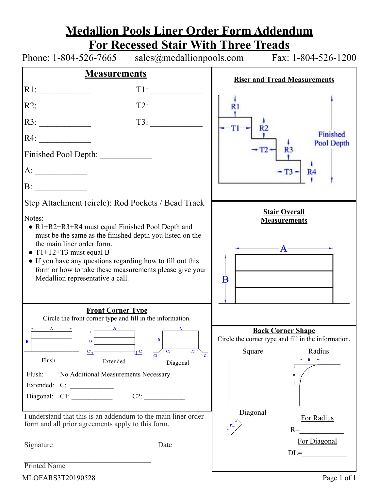|                                                                                                                       |                                                                  | <u>Medallion Pools Liner Order Form Addendum</u>                                |  |
|-----------------------------------------------------------------------------------------------------------------------|------------------------------------------------------------------|---------------------------------------------------------------------------------|--|
|                                                                                                                       |                                                                  | <b>For Recessed Stair With Three Treads</b>                                     |  |
|                                                                                                                       |                                                                  | Phone: $1-804-526-7665$ sales @medallionpools.com Fax: $1-804-526-1200$         |  |
| <b>Measurements</b>                                                                                                   |                                                                  | <b>Riser and Tread Measurements</b>                                             |  |
| RI:                                                                                                                   | $T1: \underline{\hspace{2.5cm}}$                                 |                                                                                 |  |
| R2:                                                                                                                   | T2:                                                              | R1                                                                              |  |
| R3:                                                                                                                   | $\begin{array}{c}\n \text{I3:}\n \quad \text{---}\n \end{array}$ | R <sub>2</sub>                                                                  |  |
| R4:                                                                                                                   |                                                                  | Finished<br>Pool Depth                                                          |  |
| Finished Pool Depth:                                                                                                  |                                                                  | R <sub>3</sub>                                                                  |  |
|                                                                                                                       |                                                                  | $-T3 - R4$                                                                      |  |
| B:                                                                                                                    |                                                                  |                                                                                 |  |
| Step Attachment (circle): Rod Pockets / Bead Track                                                                    |                                                                  |                                                                                 |  |
| Notes:                                                                                                                |                                                                  | <b>Stair Overall</b><br><b>Measurements</b>                                     |  |
| • $R1+R2+R3+R4$ must equal Finished Pool Depth and<br>must be the same as the finished depth you listed on the        |                                                                  |                                                                                 |  |
| the main liner order form.                                                                                            |                                                                  |                                                                                 |  |
| $\bullet$ T1+T2+T3 must equal B                                                                                       |                                                                  | -A-                                                                             |  |
| • If you have any questions regarding how to fill out this<br>form or how to take these measurements please give your |                                                                  |                                                                                 |  |
| Medallion representative a call.                                                                                      |                                                                  | $\bf{B}$                                                                        |  |
|                                                                                                                       |                                                                  |                                                                                 |  |
|                                                                                                                       |                                                                  |                                                                                 |  |
| <b>Front Corner Type</b>                                                                                              |                                                                  |                                                                                 |  |
| Circle the front corner type and fill in the information.                                                             |                                                                  |                                                                                 |  |
| A                                                                                                                     | $\overline{B}$                                                   | <b>Back Corner Shape</b><br>Circle the corner type and fill in the information. |  |
| B<br>в<br>$\mathbf{C}^{\mathbf{t}}$                                                                                   | $V^{\mathbf{C}}$                                                 | Radius<br>Square                                                                |  |
| Flush<br>Extended                                                                                                     | C1<br>Diagonal                                                   |                                                                                 |  |
| Flush:                                                                                                                |                                                                  | $\mathbf R$                                                                     |  |
| No Additional Measurements Necessary                                                                                  |                                                                  |                                                                                 |  |
| Diagonal: C1:                                                                                                         | $C2$ :                                                           |                                                                                 |  |
|                                                                                                                       |                                                                  |                                                                                 |  |
| I understand that this is an addendum to the main liner order                                                         |                                                                  | Diagonal<br>For Radius                                                          |  |
| form and all prior agreements apply to this form.                                                                     |                                                                  | DL<br>$R=$                                                                      |  |
|                                                                                                                       |                                                                  | For Diagonal                                                                    |  |
| Signature                                                                                                             | Date                                                             | $DL =$                                                                          |  |
| Printed Name                                                                                                          |                                                                  |                                                                                 |  |

MLOFARS3T20190528 Page 1 of 1